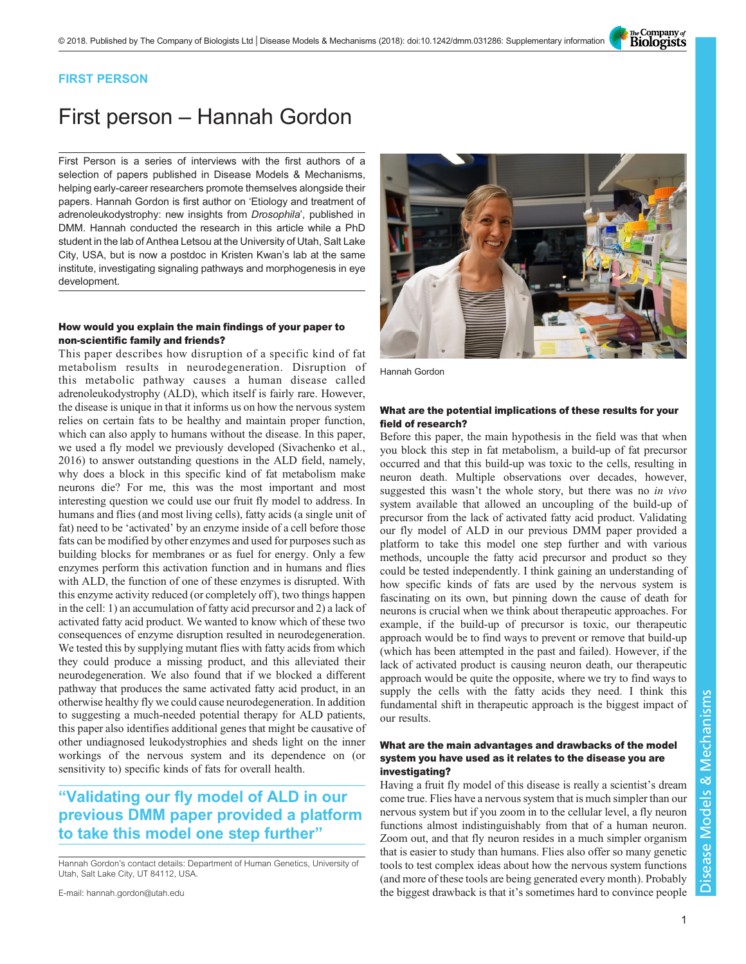The Company of<br>**Biologists** 

## FIRST PERSON

# First person – Hannah Gordon

First Person is a series of interviews with the first authors of a selection of papers published in Disease Models & Mechanisms, helping early-career researchers promote themselves alongside their papers. Hannah Gordon is first author on '[Etiology and treatment of](#page-1-0) [adrenoleukodystrophy: new insights from](#page-1-0) Drosophila', published in DMM. Hannah conducted the research in this article while a PhD student in the lab of Anthea Letsou at the University of Utah, Salt Lake City, USA, but is now a postdoc in Kristen Kwan's lab at the same institute, investigating signaling pathways and morphogenesis in eye development.

### How would you explain the main findings of your paper to non-scientific family and friends?

This paper describes how disruption of a specific kind of fat metabolism results in neurodegeneration. Disruption of this metabolic pathway causes a human disease called adrenoleukodystrophy (ALD), which itself is fairly rare. However, the disease is unique in that it informs us on how the nervous system relies on certain fats to be healthy and maintain proper function, which can also apply to humans without the disease. In this paper, we used a fly model we previously developed (Sivachenko et al., 2016) to answer outstanding questions in the ALD field, namely, why does a block in this specific kind of fat metabolism make neurons die? For me, this was the most important and most interesting question we could use our fruit fly model to address. In humans and flies (and most living cells), fatty acids (a single unit of fat) need to be 'activated' by an enzyme inside of a cell before those fats can be modified by other enzymes and used for purposes such as building blocks for membranes or as fuel for energy. Only a few enzymes perform this activation function and in humans and flies with ALD, the function of one of these enzymes is disrupted. With this enzyme activity reduced (or completely off ), two things happen in the cell: 1) an accumulation of fatty acid precursor and 2) a lack of activated fatty acid product. We wanted to know which of these two consequences of enzyme disruption resulted in neurodegeneration. We tested this by supplying mutant flies with fatty acids from which they could produce a missing product, and this alleviated their neurodegeneration. We also found that if we blocked a different pathway that produces the same activated fatty acid product, in an otherwise healthy fly we could cause neurodegeneration. In addition to suggesting a much-needed potential therapy for ALD patients, this paper also identifies additional genes that might be causative of other undiagnosed leukodystrophies and sheds light on the inner workings of the nervous system and its dependence on (or sensitivity to) specific kinds of fats for overall health.

# "Validating our fly model of ALD in our previous DMM paper provided a platform to take this model one step further"

Hannah Gordon's contact details: Department of Human Genetics, University of Utah, Salt Lake City, UT 84112, USA.



Hannah Gordon

#### What are the potential implications of these results for your field of research?

Before this paper, the main hypothesis in the field was that when you block this step in fat metabolism, a build-up of fat precursor occurred and that this build-up was toxic to the cells, resulting in neuron death. Multiple observations over decades, however, suggested this wasn't the whole story, but there was no *in vivo* system available that allowed an uncoupling of the build-up of precursor from the lack of activated fatty acid product. Validating our fly model of ALD in our previous DMM paper provided a platform to take this model one step further and with various methods, uncouple the fatty acid precursor and product so they could be tested independently. I think gaining an understanding of how specific kinds of fats are used by the nervous system is fascinating on its own, but pinning down the cause of death for neurons is crucial when we think about therapeutic approaches. For example, if the build-up of precursor is toxic, our therapeutic approach would be to find ways to prevent or remove that build-up (which has been attempted in the past and failed). However, if the lack of activated product is causing neuron death, our therapeutic approach would be quite the opposite, where we try to find ways to supply the cells with the fatty acids they need. I think this fundamental shift in therapeutic approach is the biggest impact of our results.

### What are the main advantages and drawbacks of the model system you have used as it relates to the disease you are investigating?

Having a fruit fly model of this disease is really a scientist's dream come true. Flies have a nervous system that is much simpler than our nervous system but if you zoom in to the cellular level, a fly neuron functions almost indistinguishably from that of a human neuron. Zoom out, and that fly neuron resides in a much simpler organism that is easier to study than humans. Flies also offer so many genetic tools to test complex ideas about how the nervous system functions (and more of these tools are being generated every month). Probably the biggest drawback is that it's sometimes hard to convince people